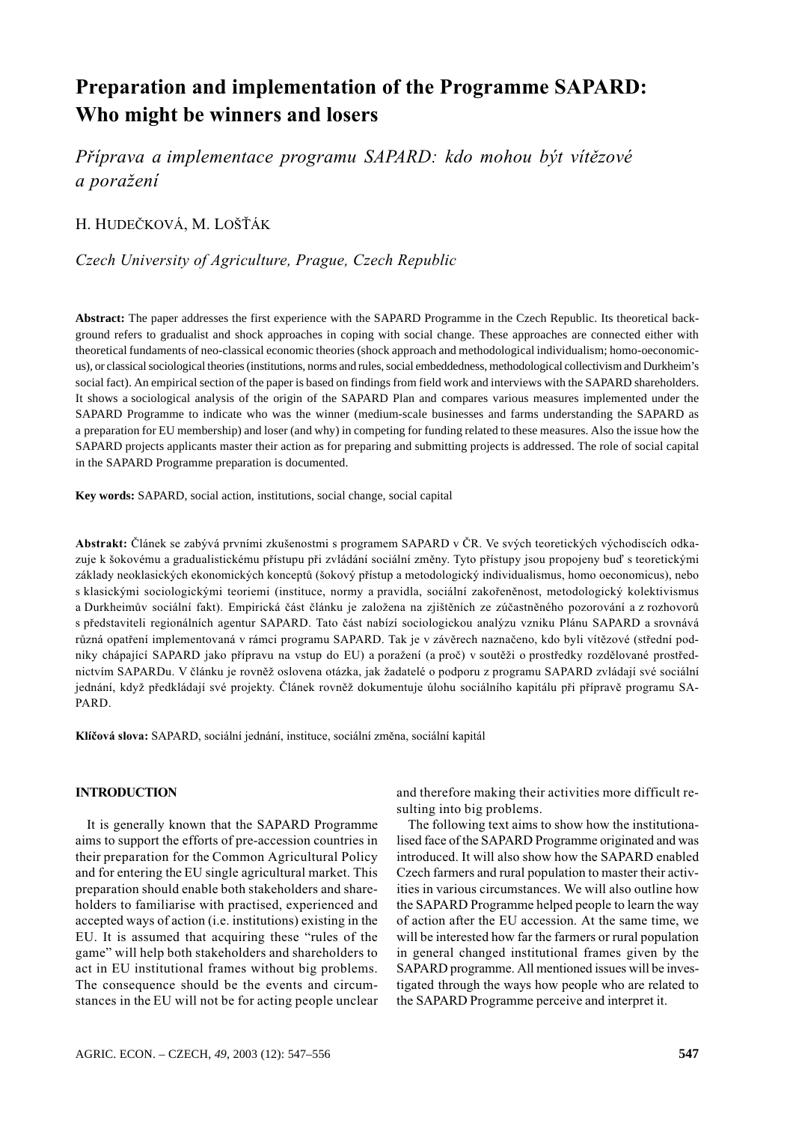# Preparation and implementation of the Programme SAPARD: Who might be winners and losers

Příprava a implementace programu SAPARD: kdo mohou být vítězové a poražení

H. HUDEČKOVÁ, M. LOŠŤÁK

Czech University of Agriculture, Prague, Czech Republic

**Abstract:** The paper addresses the first experience with the SAPARD Programme in the Czech Republic. Its theoretical background refers to gradualist and shock approaches in coping with social change. These approaches are connected either with theoretical fundaments of neo-classical economic theories (shock approach and methodological individualism; homo-oeconomicus), or classical sociological theories (institutions, norms and rules, social embeddedness, methodological collectivism and Durkheim's social fact). An empirical section of the paper is based on findings from field work and interviews with the SAPARD shareholders. It shows a sociological analysis of the origin of the SAPARD Plan and compares various measures implemented under the SAPARD Programme to indicate who was the winner (medium-scale businesses and farms understanding the SAPARD as a preparation for EU membership) and loser (and why) in competing for funding related to these measures. Also the issue how the SAPARD projects applicants master their action as for preparing and submitting projects is addressed. The role of social capital in the SAPARD Programme preparation is documented.

**Key words:** SAPARD, social action, institutions, social change, social capital

Abstrakt: Článek se zabývá prvními zkušenostmi s programem SAPARD v ČR. Ve svých teoretických východiscích odkazuje k šokovému a gradualistickému přístupu při zvládání sociální změny. Tyto přístupy jsou propojeny buď s teoretickými základy neoklasických ekonomických konceptů (šokový přístup a metodologický individualismus, homo oeconomicus), nebo s klasickými sociologickými teoriemi (instituce, normy a pravidla, sociální zakořeněnost, metodologický kolektivismus a Durkheimův sociální fakt). Empirická část článku je založena na zjištěních ze zúčastněného pozorování a z rozhovorů s představiteli regionálních agentur SAPARD. Tato část nabízí sociologickou analýzu vzniku Plánu SAPARD a srovnává různá opatření implementovaná v rámci programu SAPARD. Tak je v závěrech naznačeno, kdo byli vítězové (střední podniky chápající SAPARD jako přípravu na vstup do EU) a poražení (a proč) v soutěži o prostředky rozdělované prostřednictvím SAPARDu. V článku je rovněž oslovena otázka, jak žadatelé o podporu z programu SAPARD zvládají své sociální jednání, když předkládají své projekty. Článek rovněž dokumentuje úlohu sociálního kapitálu při přípravě programu SA-PARD.

Klíčová slova: SAPARD, sociální jednání, instituce, sociální změna, sociální kapitál

#### **INTRODUCTION**

It is generally known that the SAPARD Programme aims to support the efforts of pre-accession countries in their preparation for the Common Agricultural Policy and for entering the EU single agricultural market. This preparation should enable both stakeholders and shareholders to familiarise with practised, experienced and accepted ways of action (i.e. institutions) existing in the EU. It is assumed that acquiring these "rules of the game" will help both stakeholders and shareholders to act in EU institutional frames without big problems. The consequence should be the events and circumstances in the EU will not be for acting people unclear and therefore making their activities more difficult resulting into big problems.

The following text aims to show how the institutionalised face of the SAPARD Programme originated and was introduced. It will also show how the SAPARD enabled Czech farmers and rural population to master their activities in various circumstances. We will also outline how the SAPARD Programme helped people to learn the way of action after the EU accession. At the same time, we will be interested how far the farmers or rural population in general changed institutional frames given by the SAPARD programme. All mentioned issues will be investigated through the ways how people who are related to the SAPARD Programme perceive and interpret it.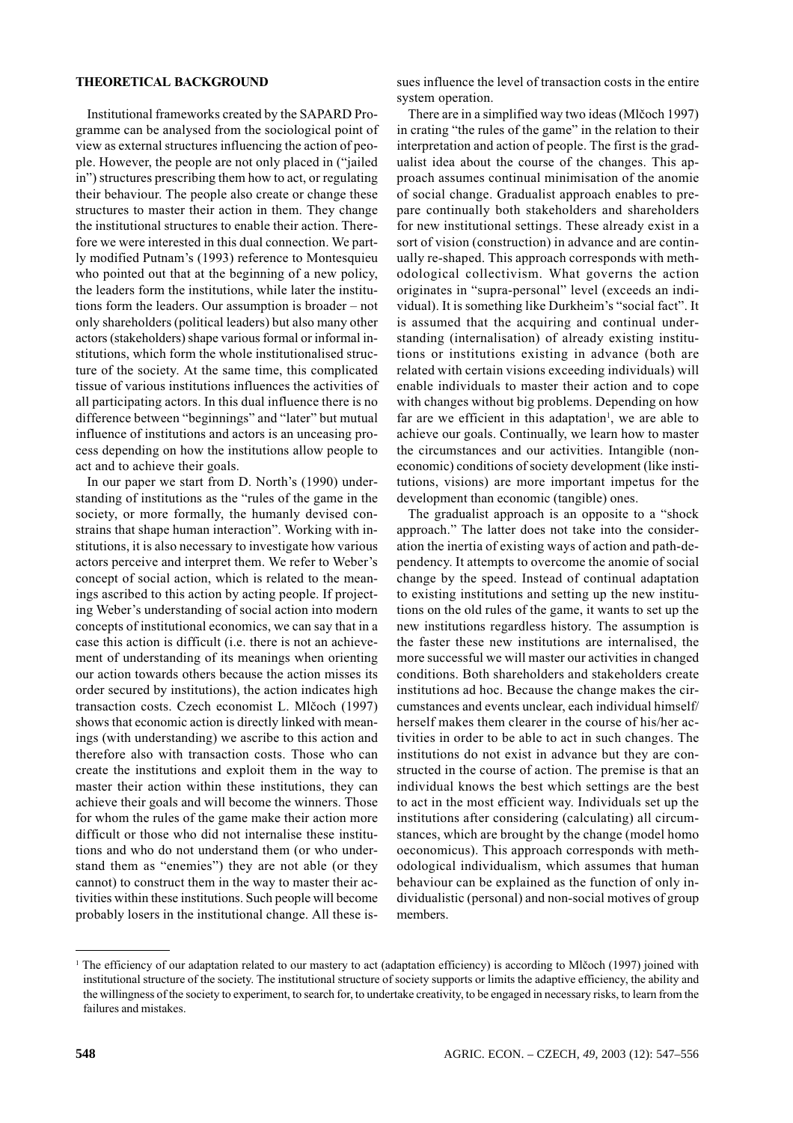## **THEORETICAL BACKGROUND**

Institutional frameworks created by the SAPARD Programme can be analysed from the sociological point of view as external structures influencing the action of people. However, the people are not only placed in ("jailed" in") structures prescribing them how to act, or regulating their behaviour. The people also create or change these structures to master their action in them. They change the institutional structures to enable their action. Therefore we were interested in this dual connection. We partly modified Putnam's (1993) reference to Montesquieu who pointed out that at the beginning of a new policy. the leaders form the institutions, while later the institutions form the leaders. Our assumption is broader – not only shareholders (political leaders) but also many other actors (stakeholders) shape various formal or informal institutions, which form the whole institutionalised structure of the society. At the same time, this complicated tissue of various institutions influences the activities of all participating actors. In this dual influence there is no difference between "beginnings" and "later" but mutual influence of institutions and actors is an unceasing process depending on how the institutions allow people to act and to achieve their goals.

In our paper we start from D. North's (1990) understanding of institutions as the "rules of the game in the society, or more formally, the humanly devised constrains that shape human interaction". Working with institutions, it is also necessary to investigate how various actors perceive and interpret them. We refer to Weber's concept of social action, which is related to the meanings ascribed to this action by acting people. If projecting Weber's understanding of social action into modern concepts of institutional economics, we can say that in a case this action is difficult (i.e. there is not an achievement of understanding of its meanings when orienting our action towards others because the action misses its order secured by institutions), the action indicates high transaction costs. Czech economist L. Mlčoch (1997) shows that economic action is directly linked with meanings (with understanding) we ascribe to this action and therefore also with transaction costs. Those who can create the institutions and exploit them in the way to master their action within these institutions, they can achieve their goals and will become the winners. Those for whom the rules of the game make their action more difficult or those who did not internalise these institutions and who do not understand them (or who understand them as "enemies") they are not able (or they cannot) to construct them in the way to master their activities within these institutions. Such people will become probably losers in the institutional change. All these issues influence the level of transaction costs in the entire system operation.

There are in a simplified way two ideas (Mlčoch 1997) in crating "the rules of the game" in the relation to their interpretation and action of people. The first is the gradualist idea about the course of the changes. This approach assumes continual minimisation of the anomie of social change. Gradualist approach enables to prepare continually both stakeholders and shareholders for new institutional settings. These already exist in a sort of vision (construction) in advance and are continually re-shaped. This approach corresponds with methodological collectivism. What governs the action originates in "supra-personal" level (exceeds an individual). It is something like Durkheim's "social fact". It is assumed that the acquiring and continual understanding (internalisation) of already existing institutions or institutions existing in advance (both are related with certain visions exceeding individuals) will enable individuals to master their action and to cope with changes without big problems. Depending on how far are we efficient in this adaptation<sup>1</sup>, we are able to achieve our goals. Continually, we learn how to master the circumstances and our activities. Intangible (noneconomic) conditions of society development (like institutions, visions) are more important impetus for the development than economic (tangible) ones.

The gradualist approach is an opposite to a "shock approach." The latter does not take into the consideration the inertia of existing ways of action and path-dependency. It attempts to overcome the anomie of social change by the speed. Instead of continual adaptation to existing institutions and setting up the new institutions on the old rules of the game, it wants to set up the new institutions regardless history. The assumption is the faster these new institutions are internalised, the more successful we will master our activities in changed conditions. Both shareholders and stakeholders create institutions ad hoc. Because the change makes the circumstances and events unclear, each individual himself/ herself makes them clearer in the course of his/her activities in order to be able to act in such changes. The institutions do not exist in advance but they are constructed in the course of action. The premise is that an individual knows the best which settings are the best to act in the most efficient way. Individuals set up the institutions after considering (calculating) all circumstances, which are brought by the change (model homo oeconomicus). This approach corresponds with methodological individualism, which assumes that human behaviour can be explained as the function of only individualistic (personal) and non-social motives of group members.

<sup>&</sup>lt;sup>1</sup> The efficiency of our adaptation related to our mastery to act (adaptation efficiency) is according to Mlčoch (1997) joined with institutional structure of the society. The institutional structure of society supports or limits the adaptive efficiency, the ability and the willingness of the society to experiment, to search for, to undertake creativity, to be engaged in necessary risks, to learn from the failures and mistakes.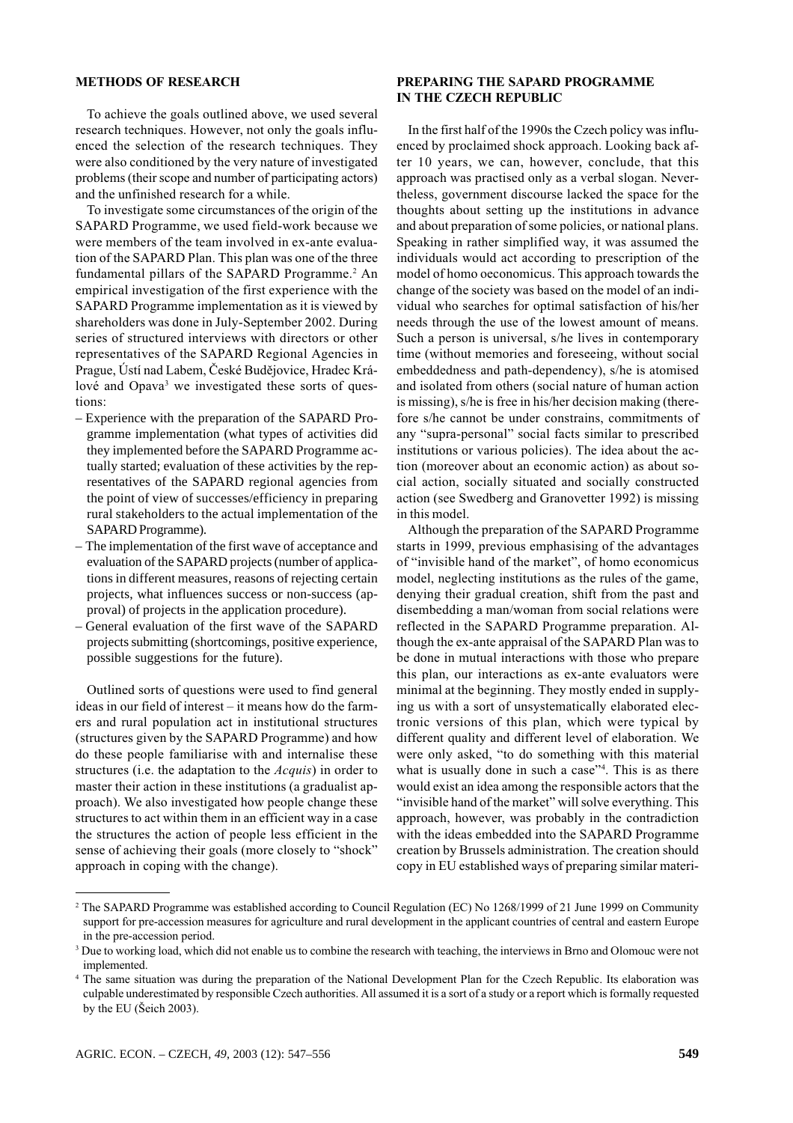## **METHODS OF RESEARCH**

To achieve the goals outlined above, we used several research techniques. However, not only the goals influenced the selection of the research techniques. They were also conditioned by the very nature of investigated problems (their scope and number of participating actors) and the unfinished research for a while.

To investigate some circumstances of the origin of the SAPARD Programme, we used field-work because we were members of the team involved in ex-ante evaluation of the SAPARD Plan. This plan was one of the three fundamental pillars of the SAPARD Programme.<sup>2</sup> An empirical investigation of the first experience with the SAPARD Programme implementation as it is viewed by shareholders was done in July-September 2002. During series of structured interviews with directors or other representatives of the SAPARD Regional Agencies in Prague, Ústí nad Labem, České Budějovice, Hradec Králové and Opava<sup>3</sup> we investigated these sorts of questions:

- Experience with the preparation of the SAPARD Programme implementation (what types of activities did they implemented before the SAPARD Programme actually started; evaluation of these activities by the representatives of the SAPARD regional agencies from the point of view of successes/efficiency in preparing rural stakeholders to the actual implementation of the SAPARD Programme).
- The implementation of the first wave of acceptance and evaluation of the SAPARD projects (number of applications in different measures, reasons of rejecting certain projects, what influences success or non-success (approval) of projects in the application procedure).
- General evaluation of the first wave of the SAPARD projects submitting (shortcomings, positive experience, possible suggestions for the future).

Outlined sorts of questions were used to find general ideas in our field of interest - it means how do the farmers and rural population act in institutional structures (structures given by the SAPARD Programme) and how do these people familiarise with and internalise these structures (i.e. the adaptation to the *Acquis*) in order to master their action in these institutions (a gradualist approach). We also investigated how people change these structures to act within them in an efficient way in a case the structures the action of people less efficient in the sense of achieving their goals (more closely to "shock" approach in coping with the change).

# PREPARING THE SAPARD PROGRAMME IN THE CZECH REPUBLIC

In the first half of the 1990s the Czech policy was influenced by proclaimed shock approach. Looking back after 10 years, we can, however, conclude, that this approach was practised only as a verbal slogan. Nevertheless, government discourse lacked the space for the thoughts about setting up the institutions in advance and about preparation of some policies, or national plans. Speaking in rather simplified way, it was assumed the individuals would act according to prescription of the model of homo oeconomicus. This approach towards the change of the society was based on the model of an individual who searches for optimal satisfaction of his/her needs through the use of the lowest amount of means. Such a person is universal, s/he lives in contemporary time (without memories and foreseeing, without social embeddedness and path-dependency), s/he is atomised and isolated from others (social nature of human action is missing), s/he is free in his/her decision making (therefore s/he cannot be under constrains, commitments of any "supra-personal" social facts similar to prescribed institutions or various policies). The idea about the action (moreover about an economic action) as about social action, socially situated and socially constructed action (see Swedberg and Granovetter 1992) is missing in this model.

Although the preparation of the SAPARD Programme starts in 1999, previous emphasising of the advantages of "invisible hand of the market", of homo economicus model, neglecting institutions as the rules of the game, denying their gradual creation, shift from the past and disembedding a man/woman from social relations were reflected in the SAPARD Programme preparation. Although the ex-ante appraisal of the SAPARD Plan was to be done in mutual interactions with those who prepare this plan, our interactions as ex-ante evaluators were minimal at the beginning. They mostly ended in supplying us with a sort of unsystematically elaborated electronic versions of this plan, which were typical by different quality and different level of elaboration. We were only asked, "to do something with this material what is usually done in such a case"<sup>4</sup>. This is as there would exist an idea among the responsible actors that the "invisible hand of the market" will solve everything. This approach, however, was probably in the contradiction with the ideas embedded into the SAPARD Programme creation by Brussels administration. The creation should copy in EU established ways of preparing similar materi-

<sup>&</sup>lt;sup>2</sup> The SAPARD Programme was established according to Council Regulation (EC) No 1268/1999 of 21 June 1999 on Community support for pre-accession measures for agriculture and rural development in the applicant countries of central and eastern Europe in the pre-accession period.

<sup>&</sup>lt;sup>3</sup> Due to working load, which did not enable us to combine the research with teaching, the interviews in Brno and Olomouc were not implemented.

<sup>&</sup>lt;sup>4</sup> The same situation was during the preparation of the National Development Plan for the Czech Republic. Its elaboration was culpable underestimated by responsible Czech authorities. All assumed it is a sort of a study or a report which is formally requested by the EU (Šeich 2003).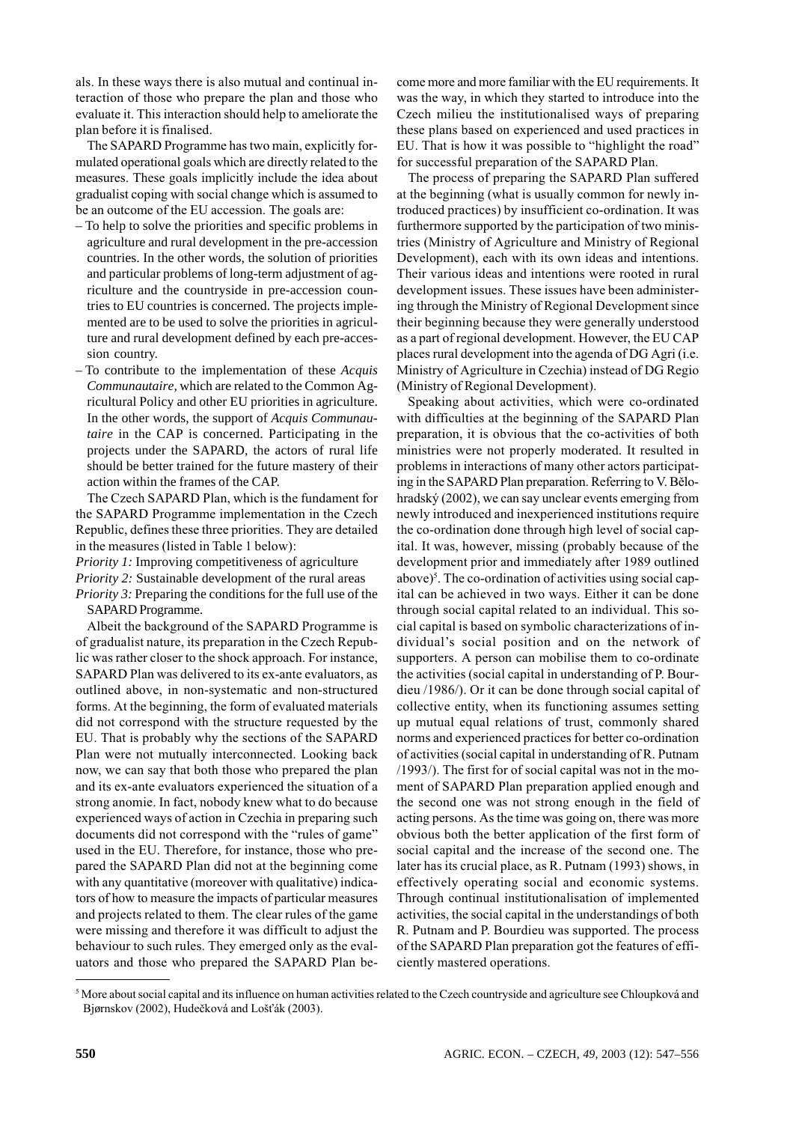als. In these ways there is also mutual and continual interaction of those who prepare the plan and those who evaluate it. This interaction should help to ameliorate the plan before it is finalised.

The SAPARD Programme has two main, explicitly formulated operational goals which are directly related to the measures. These goals implicitly include the idea about gradualist coping with social change which is assumed to be an outcome of the EU accession. The goals are:

- To help to solve the priorities and specific problems in agriculture and rural development in the pre-accession countries. In the other words, the solution of priorities and particular problems of long-term adjustment of agriculture and the countryside in pre-accession countries to EU countries is concerned. The projects implemented are to be used to solve the priorities in agriculture and rural development defined by each pre-accession country.
- $-$ To contribute to the implementation of these Acquis Communautaire, which are related to the Common Agricultural Policy and other EU priorities in agriculture. In the other words, the support of Acquis Communau*taire* in the CAP is concerned. Participating in the projects under the SAPARD, the actors of rural life should be better trained for the future mastery of their action within the frames of the CAP.

The Czech SAPARD Plan, which is the fundament for the SAPARD Programme implementation in the Czech Republic, defines these three priorities. They are detailed in the measures (listed in Table 1 below):

*Priority 1:* Improving competitiveness of agriculture *Priority 2:* Sustainable development of the rural areas *Priority 3:* Preparing the conditions for the full use of the **SAPARD** Programme.

Albeit the background of the SAPARD Programme is of gradualist nature, its preparation in the Czech Republic was rather closer to the shock approach. For instance, SAPARD Plan was delivered to its ex-ante evaluators, as outlined above, in non-systematic and non-structured forms. At the beginning, the form of evaluated materials did not correspond with the structure requested by the EU. That is probably why the sections of the SAPARD Plan were not mutually interconnected. Looking back now, we can say that both those who prepared the plan and its ex-ante evaluators experienced the situation of a strong anomie. In fact, nobody knew what to do because experienced ways of action in Czechia in preparing such documents did not correspond with the "rules of game" used in the EU. Therefore, for instance, those who prepared the SAPARD Plan did not at the beginning come with any quantitative (moreover with qualitative) indicators of how to measure the impacts of particular measures and projects related to them. The clear rules of the game were missing and therefore it was difficult to adjust the behaviour to such rules. They emerged only as the evaluators and those who prepared the SAPARD Plan become more and more familiar with the EU requirements. It was the way, in which they started to introduce into the Czech milieu the institutionalised ways of preparing these plans based on experienced and used practices in EU. That is how it was possible to "highlight the road" for successful preparation of the SAPARD Plan.

The process of preparing the SAPARD Plan suffered at the beginning (what is usually common for newly introduced practices) by insufficient co-ordination. It was furthermore supported by the participation of two ministries (Ministry of Agriculture and Ministry of Regional Development), each with its own ideas and intentions. Their various ideas and intentions were rooted in rural development issues. These issues have been administering through the Ministry of Regional Development since their beginning because they were generally understood as a part of regional development. However, the EU CAP places rural development into the agenda of DG Agri (i.e. Ministry of Agriculture in Czechia) instead of DG Regio (Ministry of Regional Development).

Speaking about activities, which were co-ordinated with difficulties at the beginning of the SAPARD Plan preparation, it is obvious that the co-activities of both ministries were not properly moderated. It resulted in problems in interactions of many other actors participating in the SAPARD Plan preparation. Referring to V. Bělohradský (2002), we can say unclear events emerging from newly introduced and inexperienced institutions require the co-ordination done through high level of social capital. It was, however, missing (probably because of the development prior and immediately after 1989 outlined above)<sup>5</sup>. The co-ordination of activities using social capital can be achieved in two ways. Either it can be done through social capital related to an individual. This social capital is based on symbolic characterizations of individual's social position and on the network of supporters. A person can mobilise them to co-ordinate the activities (social capital in understanding of P. Bourdieu /1986/). Or it can be done through social capital of collective entity, when its functioning assumes setting up mutual equal relations of trust, commonly shared norms and experienced practices for better co-ordination of activities (social capital in understanding of R. Putnam /1993/). The first for of social capital was not in the moment of SAPARD Plan preparation applied enough and the second one was not strong enough in the field of acting persons. As the time was going on, there was more obvious both the better application of the first form of social capital and the increase of the second one. The later has its crucial place, as R. Putnam (1993) shows, in effectively operating social and economic systems. Through continual institutionalisation of implemented activities, the social capital in the understandings of both R. Putnam and P. Bourdieu was supported. The process of the SAPARD Plan preparation got the features of efficiently mastered operations.

<sup>&</sup>lt;sup>5</sup> More about social capital and its influence on human activities related to the Czech countryside and agriculture see Chloupková and Bjørnskov (2002), Hudečková and Lošťák (2003).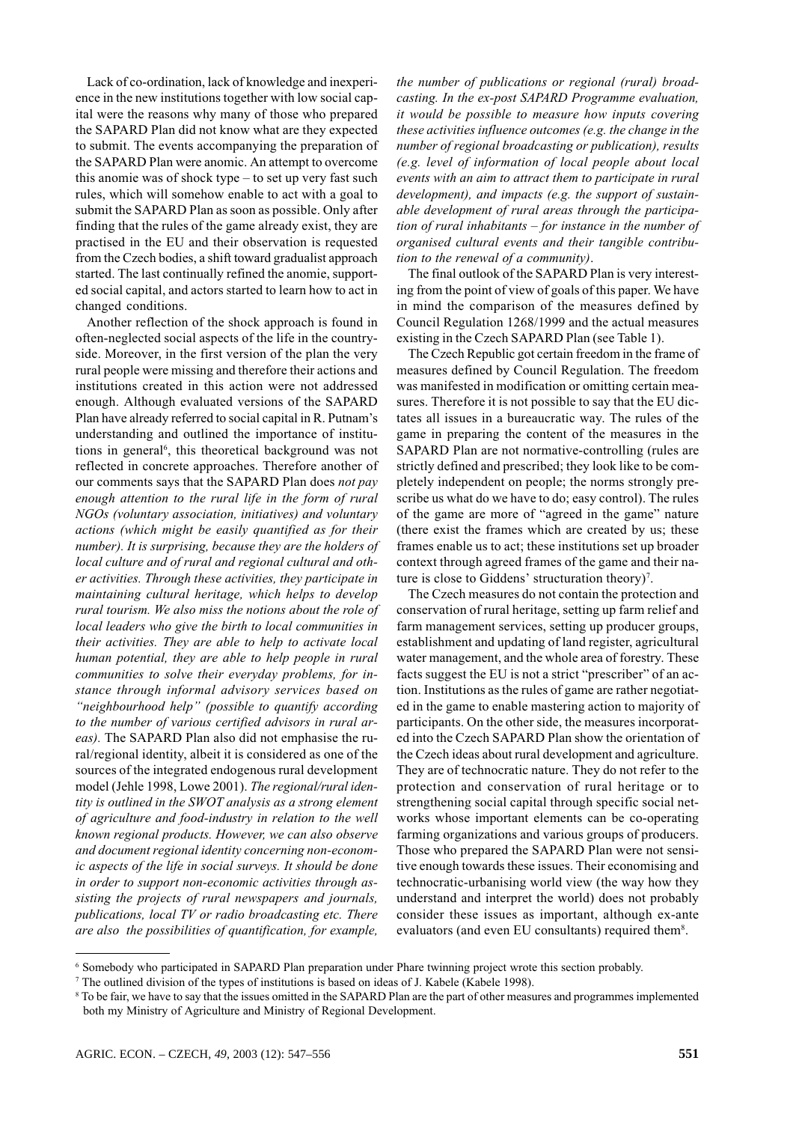Lack of co-ordination, lack of knowledge and inexperience in the new institutions together with low social capital were the reasons why many of those who prepared the SAPARD Plan did not know what are they expected to submit. The events accompanying the preparation of the SAPARD Plan were anomic. An attempt to overcome this anomie was of shock type  $-$  to set up very fast such rules, which will somehow enable to act with a goal to submit the SAPARD Plan as soon as possible. Only after finding that the rules of the game already exist, they are practised in the EU and their observation is requested from the Czech bodies, a shift toward gradualist approach started. The last continually refined the anomie, supported social capital, and actors started to learn how to act in changed conditions.

Another reflection of the shock approach is found in often-neglected social aspects of the life in the countryside. Moreover, in the first version of the plan the very rural people were missing and therefore their actions and institutions created in this action were not addressed enough. Although evaluated versions of the SAPARD Plan have already referred to social capital in R. Putnam's understanding and outlined the importance of institutions in general<sup>6</sup>, this theoretical background was not reflected in concrete approaches. Therefore another of our comments says that the SAPARD Plan does not pay enough attention to the rural life in the form of rural NGOs (voluntary association, initiatives) and voluntary actions (which might be easily quantified as for their number). It is surprising, because they are the holders of local culture and of rural and regional cultural and other activities. Through these activities, they participate in maintaining cultural heritage, which helps to develop rural tourism. We also miss the notions about the role of local leaders who give the birth to local communities in their activities. They are able to help to activate local human potential, they are able to help people in rural communities to solve their everyday problems, for instance through informal advisory services based on "neighbourhood help" (possible to quantify according to the number of various certified advisors in rural areas). The SAPARD Plan also did not emphasise the rural/regional identity, albeit it is considered as one of the sources of the integrated endogenous rural development model (Jehle 1998, Lowe 2001). The regional/rural identity is outlined in the SWOT analysis as a strong element of agriculture and food-industry in relation to the well known regional products. However, we can also observe and document regional identity concerning non-economic aspects of the life in social surveys. It should be done in order to support non-economic activities through assisting the projects of rural newspapers and journals, publications, local TV or radio broadcasting etc. There are also the possibilities of quantification, for example,

the number of publications or regional (rural) broadcasting. In the ex-post SAPARD Programme evaluation, it would be possible to measure how inputs covering these activities influence outcomes (e.g. the change in the number of regional broadcasting or publication), results (e.g. level of information of local people about local events with an aim to attract them to participate in rural development), and impacts (e.g. the support of sustainable development of rural areas through the participation of rural inhabitants  $-$  for instance in the number of organised cultural events and their tangible contribution to the renewal of a community).

The final outlook of the SAPARD Plan is very interesting from the point of view of goals of this paper. We have in mind the comparison of the measures defined by Council Regulation 1268/1999 and the actual measures existing in the Czech SAPARD Plan (see Table 1).

The Czech Republic got certain freedom in the frame of measures defined by Council Regulation. The freedom was manifested in modification or omitting certain measures. Therefore it is not possible to say that the EU dictates all issues in a bureaucratic way. The rules of the game in preparing the content of the measures in the SAPARD Plan are not normative-controlling (rules are strictly defined and prescribed; they look like to be completely independent on people; the norms strongly prescribe us what do we have to do; easy control). The rules of the game are more of "agreed in the game" nature (there exist the frames which are created by us; these frames enable us to act; these institutions set up broader context through agreed frames of the game and their nature is close to Giddens' structuration theory)<sup>7</sup>.

The Czech measures do not contain the protection and conservation of rural heritage, setting up farm relief and farm management services, setting up producer groups, establishment and updating of land register, agricultural water management, and the whole area of forestry. These facts suggest the EU is not a strict "prescriber" of an action. Institutions as the rules of game are rather negotiated in the game to enable mastering action to majority of participants. On the other side, the measures incorporated into the Czech SAPARD Plan show the orientation of the Czech ideas about rural development and agriculture. They are of technocratic nature. They do not refer to the protection and conservation of rural heritage or to strengthening social capital through specific social networks whose important elements can be co-operating farming organizations and various groups of producers. Those who prepared the SAPARD Plan were not sensitive enough towards these issues. Their economising and technocratic-urbanising world view (the way how they understand and interpret the world) does not probably consider these issues as important, although ex-ante evaluators (and even EU consultants) required them<sup>8</sup>.

<sup>&</sup>lt;sup>6</sup> Somebody who participated in SAPARD Plan preparation under Phare twinning project wrote this section probably.

<sup>&</sup>lt;sup>7</sup> The outlined division of the types of institutions is based on ideas of J. Kabele (Kabele 1998).

<sup>&</sup>lt;sup>8</sup> To be fair, we have to say that the issues omitted in the SAPARD Plan are the part of other measures and programmes implemented both my Ministry of Agriculture and Ministry of Regional Development.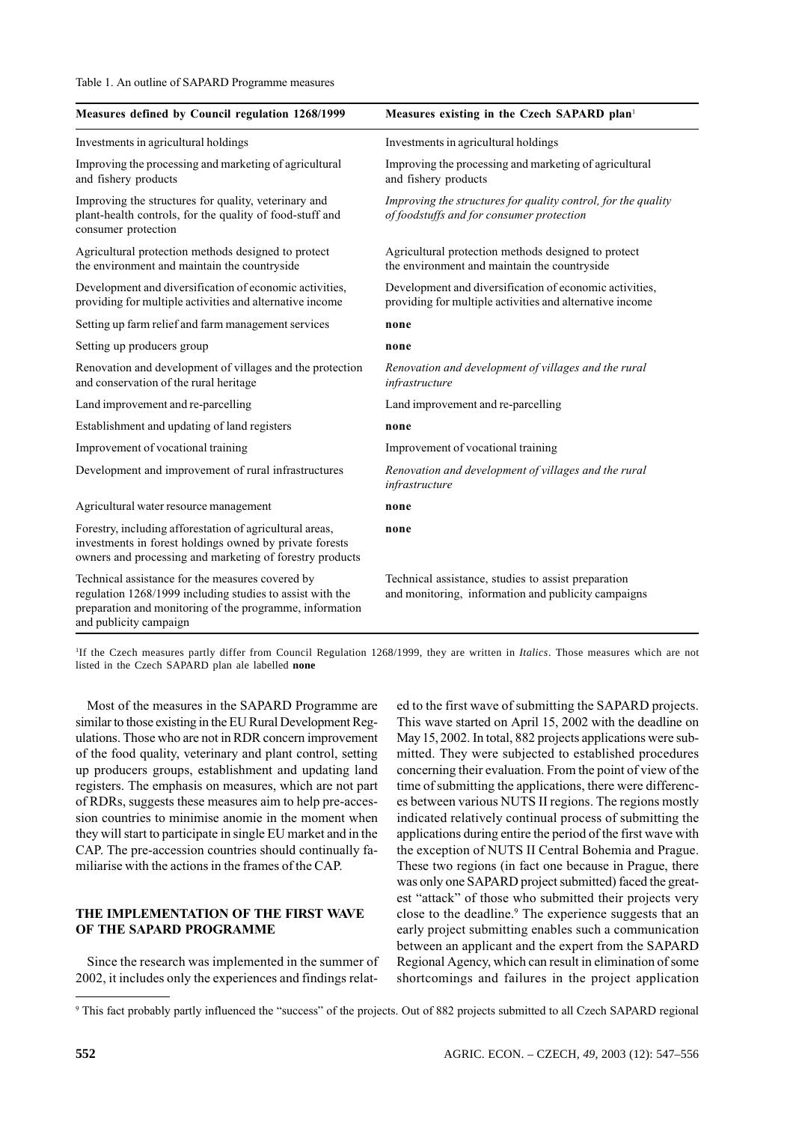#### Table 1. An outline of SAPARD Programme measures

| Measures defined by Council regulation 1268/1999                                                                                                                                                    | Measures existing in the Czech SAPARD plan <sup>1</sup>                                                             |  |  |  |
|-----------------------------------------------------------------------------------------------------------------------------------------------------------------------------------------------------|---------------------------------------------------------------------------------------------------------------------|--|--|--|
| Investments in agricultural holdings                                                                                                                                                                | Investments in agricultural holdings                                                                                |  |  |  |
| Improving the processing and marketing of agricultural<br>and fishery products                                                                                                                      | Improving the processing and marketing of agricultural<br>and fishery products                                      |  |  |  |
| Improving the structures for quality, veterinary and<br>plant-health controls, for the quality of food-stuff and<br>consumer protection                                                             | Improving the structures for quality control, for the quality<br>of foodstuffs and for consumer protection          |  |  |  |
| Agricultural protection methods designed to protect<br>the environment and maintain the countryside                                                                                                 | Agricultural protection methods designed to protect<br>the environment and maintain the countryside                 |  |  |  |
| Development and diversification of economic activities,<br>providing for multiple activities and alternative income                                                                                 | Development and diversification of economic activities,<br>providing for multiple activities and alternative income |  |  |  |
| Setting up farm relief and farm management services                                                                                                                                                 | none                                                                                                                |  |  |  |
| Setting up producers group                                                                                                                                                                          | none                                                                                                                |  |  |  |
| Renovation and development of villages and the protection<br>and conservation of the rural heritage                                                                                                 | Renovation and development of villages and the rural<br>infrastructure                                              |  |  |  |
| Land improvement and re-parcelling                                                                                                                                                                  | Land improvement and re-parcelling                                                                                  |  |  |  |
| Establishment and updating of land registers                                                                                                                                                        | none                                                                                                                |  |  |  |
| Improvement of vocational training                                                                                                                                                                  | Improvement of vocational training                                                                                  |  |  |  |
| Development and improvement of rural infrastructures                                                                                                                                                | Renovation and development of villages and the rural<br>infrastructure                                              |  |  |  |
| Agricultural water resource management                                                                                                                                                              | none                                                                                                                |  |  |  |
| Forestry, including afforestation of agricultural areas,<br>investments in forest holdings owned by private forests<br>owners and processing and marketing of forestry products                     | none                                                                                                                |  |  |  |
| Technical assistance for the measures covered by<br>regulation 1268/1999 including studies to assist with the<br>preparation and monitoring of the programme, information<br>and publicity campaign | Technical assistance, studies to assist preparation<br>and monitoring, information and publicity campaigns          |  |  |  |

<sup>1</sup>If the Czech measures partly differ from Council Regulation 1268/1999, they are written in *Italics*. Those measures which are not listed in the Czech SAPARD plan ale labelled none

Most of the measures in the SAPARD Programme are similar to those existing in the EU Rural Development Regulations. Those who are not in RDR concern improvement of the food quality, veterinary and plant control, setting up producers groups, establishment and updating land registers. The emphasis on measures, which are not part of RDRs, suggests these measures aim to help pre-accession countries to minimise anomie in the moment when they will start to participate in single EU market and in the CAP. The pre-accession countries should continually familiarise with the actions in the frames of the CAP.

# THE IMPLEMENTATION OF THE FIRST WAVE OF THE SAPARD PROGRAMME

Since the research was implemented in the summer of 2002, it includes only the experiences and findings related to the first wave of submitting the SAPARD projects. This wave started on April 15, 2002 with the deadline on May 15, 2002. In total, 882 projects applications were submitted. They were subjected to established procedures concerning their evaluation. From the point of view of the time of submitting the applications, there were differences between various NUTS II regions. The regions mostly indicated relatively continual process of submitting the applications during entire the period of the first wave with the exception of NUTS II Central Bohemia and Prague. These two regions (in fact one because in Prague, there was only one SAPARD project submitted) faced the greatest "attack" of those who submitted their projects very close to the deadline.<sup>9</sup> The experience suggests that an early project submitting enables such a communication between an applicant and the expert from the SAPARD Regional Agency, which can result in elimination of some shortcomings and failures in the project application

<sup>&</sup>lt;sup>9</sup> This fact probably partly influenced the "success" of the projects. Out of 882 projects submitted to all Czech SAPARD regional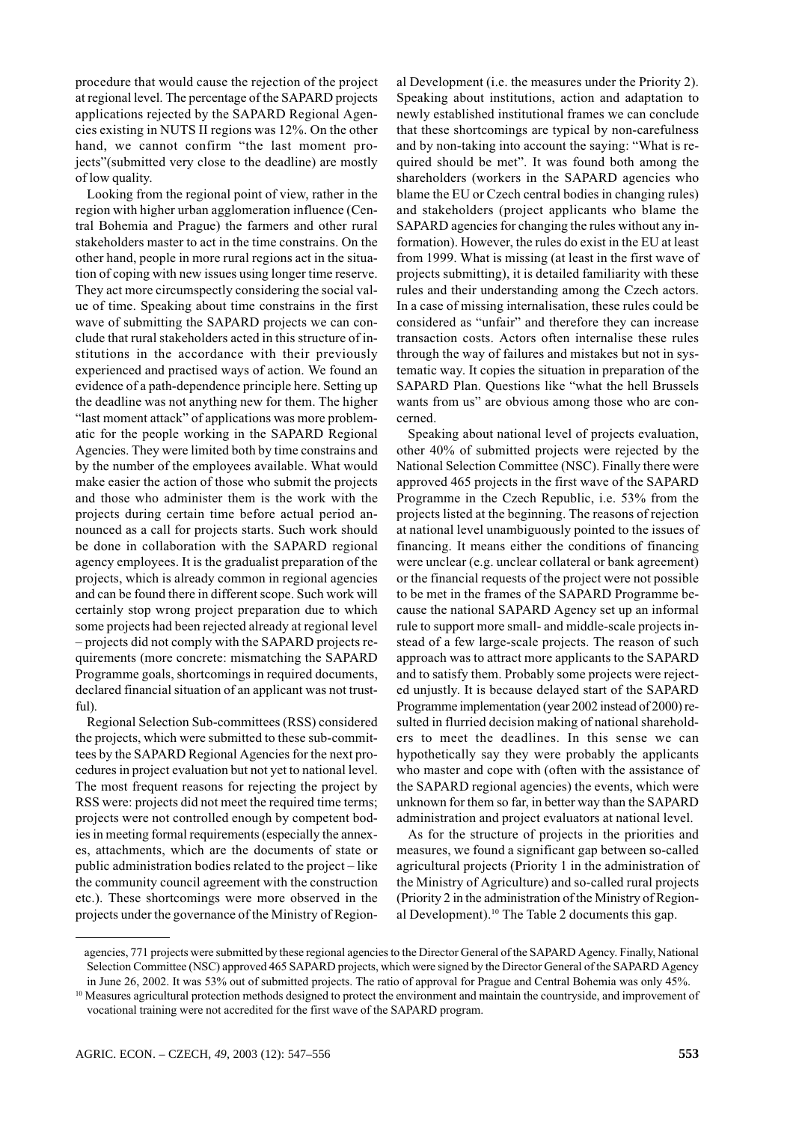procedure that would cause the rejection of the project at regional level. The percentage of the SAPARD projects applications rejected by the SAPARD Regional Agencies existing in NUTS II regions was 12%. On the other hand, we cannot confirm "the last moment projects"(submitted very close to the deadline) are mostly of low quality.

Looking from the regional point of view, rather in the region with higher urban agglomeration influence (Central Bohemia and Prague) the farmers and other rural stakeholders master to act in the time constrains. On the other hand, people in more rural regions act in the situation of coping with new issues using longer time reserve. They act more circumspectly considering the social value of time. Speaking about time constrains in the first wave of submitting the SAPARD projects we can conclude that rural stakeholders acted in this structure of institutions in the accordance with their previously experienced and practised ways of action. We found an evidence of a path-dependence principle here. Setting up the deadline was not anything new for them. The higher "last moment attack" of applications was more problematic for the people working in the SAPARD Regional Agencies. They were limited both by time constrains and by the number of the employees available. What would make easier the action of those who submit the projects and those who administer them is the work with the projects during certain time before actual period announced as a call for projects starts. Such work should be done in collaboration with the SAPARD regional agency employees. It is the gradualist preparation of the projects, which is already common in regional agencies and can be found there in different scope. Such work will certainly stop wrong project preparation due to which some projects had been rejected already at regional level - projects did not comply with the SAPARD projects requirements (more concrete: mismatching the SAPARD Programme goals, shortcomings in required documents, declared financial situation of an applicant was not trustful).

Regional Selection Sub-committees (RSS) considered the projects, which were submitted to these sub-committees by the SAPARD Regional Agencies for the next procedures in project evaluation but not yet to national level. The most frequent reasons for rejecting the project by RSS were: projects did not meet the required time terms; projects were not controlled enough by competent bodies in meeting formal requirements (especially the annexes, attachments, which are the documents of state or public administration bodies related to the project – like the community council agreement with the construction etc.). These shortcomings were more observed in the projects under the governance of the Ministry of Regional Development (*i.e.* the measures under the Priority 2). Speaking about institutions, action and adaptation to newly established institutional frames we can conclude that these shortcomings are typical by non-carefulness and by non-taking into account the saving: "What is required should be met". It was found both among the shareholders (workers in the SAPARD agencies who blame the EU or Czech central bodies in changing rules) and stakeholders (project applicants who blame the SAPARD agencies for changing the rules without any information). However, the rules do exist in the EU at least from 1999. What is missing (at least in the first wave of projects submitting), it is detailed familiarity with these rules and their understanding among the Czech actors. In a case of missing internalisation, these rules could be considered as "unfair" and therefore they can increase transaction costs. Actors often internalise these rules through the way of failures and mistakes but not in systematic way. It copies the situation in preparation of the SAPARD Plan. Ouestions like "what the hell Brussels wants from us" are obvious among those who are concerned.

Speaking about national level of projects evaluation. other 40% of submitted projects were rejected by the National Selection Committee (NSC). Finally there were approved 465 projects in the first wave of the SAPARD Programme in the Czech Republic, i.e. 53% from the projects listed at the beginning. The reasons of rejection at national level unambiguously pointed to the issues of financing. It means either the conditions of financing were unclear (e.g. unclear collateral or bank agreement) or the financial requests of the project were not possible to be met in the frames of the SAPARD Programme because the national SAPARD Agency set up an informal rule to support more small- and middle-scale projects instead of a few large-scale projects. The reason of such approach was to attract more applicants to the SAPARD and to satisfy them. Probably some projects were rejected unjustly. It is because delayed start of the SAPARD Programme implementation (year 2002 instead of 2000) resulted in flurried decision making of national shareholders to meet the deadlines. In this sense we can hypothetically say they were probably the applicants who master and cope with (often with the assistance of the SAPARD regional agencies) the events, which were unknown for them so far, in better way than the SAPARD administration and project evaluators at national level.

As for the structure of projects in the priorities and measures, we found a significant gap between so-called agricultural projects (Priority 1 in the administration of the Ministry of Agriculture) and so-called rural projects (Priority 2 in the administration of the Ministry of Regional Development).<sup>10</sup> The Table 2 documents this gap.

agencies, 771 projects were submitted by these regional agencies to the Director General of the SAPARD Agency. Finally, National Selection Committee (NSC) approved 465 SAPARD projects, which were signed by the Director General of the SAPARD Agency in June 26, 2002. It was 53% out of submitted projects. The ratio of approval for Prague and Central Bohemia was only 45%.

<sup>&</sup>lt;sup>10</sup> Measures agricultural protection methods designed to protect the environment and maintain the countryside, and improvement of vocational training were not accredited for the first wave of the SAPARD program.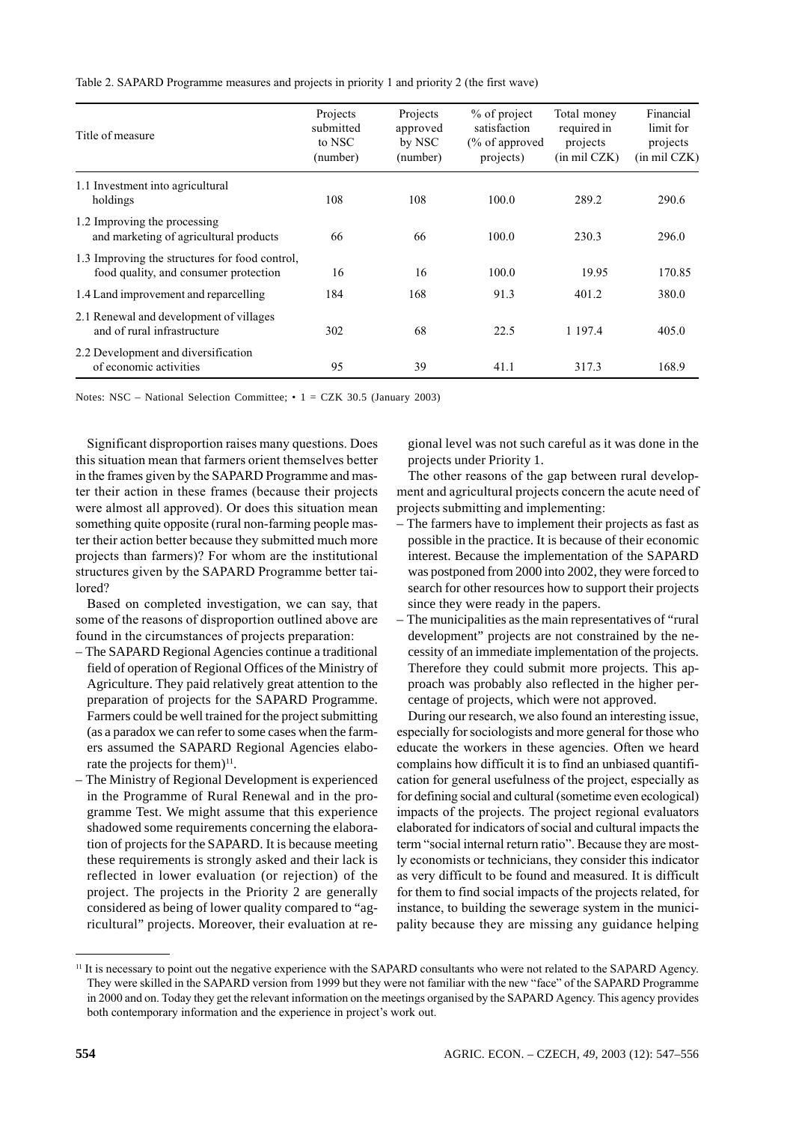| Table 2. SAPARD Programme measures and projects in priority 1 and priority 2 (the first wave) |  |  |  |  |
|-----------------------------------------------------------------------------------------------|--|--|--|--|
|-----------------------------------------------------------------------------------------------|--|--|--|--|

| Title of measure                                                                        | Projects<br>submitted<br>to NSC<br>(number) | Projects<br>approved<br>by NSC<br>(number) | $%$ of project<br>satisfaction<br>$\frac{6}{6}$ of approved<br>projects) | Total money<br>required in<br>projects<br>$(in \text{ mil } CZK)$ | Financial<br>limit for<br>projects<br>$(in \text{ mil } CZK)$ |
|-----------------------------------------------------------------------------------------|---------------------------------------------|--------------------------------------------|--------------------------------------------------------------------------|-------------------------------------------------------------------|---------------------------------------------------------------|
| 1.1 Investment into agricultural<br>holdings                                            | 108                                         | 108                                        | 100.0                                                                    | 289.2                                                             | 290.6                                                         |
| 1.2 Improving the processing<br>and marketing of agricultural products                  | 66                                          | 66                                         | 100.0                                                                    | 230.3                                                             | 296.0                                                         |
| 1.3 Improving the structures for food control,<br>food quality, and consumer protection | 16                                          | 16                                         | 100.0                                                                    | 19.95                                                             | 170.85                                                        |
| 1.4 Land improvement and reparcelling                                                   | 184                                         | 168                                        | 91.3                                                                     | 401.2                                                             | 380.0                                                         |
| 2.1 Renewal and development of villages<br>and of rural infrastructure                  | 302                                         | 68                                         | 22.5                                                                     | 1 197.4                                                           | 405.0                                                         |
| 2.2 Development and diversification<br>of economic activities                           | 95                                          | 39                                         | 41.1                                                                     | 317.3                                                             | 168.9                                                         |

Notes: NSC – National Selection Committee; • 1 = CZK 30.5 (January 2003)

Significant disproportion raises many questions. Does this situation mean that farmers orient themselves better in the frames given by the SAPARD Programme and master their action in these frames (because their projects were almost all approved). Or does this situation mean something quite opposite (rural non-farming people master their action better because they submitted much more projects than farmers)? For whom are the institutional structures given by the SAPARD Programme better tai- $1$ ored?

Based on completed investigation, we can say, that some of the reasons of disproportion outlined above are found in the circumstances of projects preparation:

- The SAPARD Regional Agencies continue a traditional field of operation of Regional Offices of the Ministry of Agriculture. They paid relatively great attention to the preparation of projects for the SAPARD Programme. Farmers could be well trained for the project submitting (as a paradox we can refer to some cases when the farmers assumed the SAPARD Regional Agencies elaborate the projects for them) $11$ .
- The Ministry of Regional Development is experienced in the Programme of Rural Renewal and in the programme Test. We might assume that this experience shadowed some requirements concerning the elaboration of projects for the SAPARD. It is because meeting these requirements is strongly asked and their lack is reflected in lower evaluation (or rejection) of the project. The projects in the Priority 2 are generally considered as being of lower quality compared to "agricultural" projects. Moreover, their evaluation at re-

gional level was not such careful as it was done in the projects under Priority 1.

The other reasons of the gap between rural development and agricultural projects concern the acute need of projects submitting and implementing:

- The farmers have to implement their projects as fast as possible in the practice. It is because of their economic interest. Because the implementation of the SAPARD was postponed from 2000 into 2002, they were forced to search for other resources how to support their projects since they were ready in the papers.
- The municipalities as the main representatives of "rural development" projects are not constrained by the necessity of an immediate implementation of the projects. Therefore they could submit more projects. This approach was probably also reflected in the higher percentage of projects, which were not approved.

During our research, we also found an interesting issue, especially for sociologists and more general for those who educate the workers in these agencies. Often we heard complains how difficult it is to find an unbiased quantification for general usefulness of the project, especially as for defining social and cultural (sometime even ecological) impacts of the projects. The project regional evaluators elaborated for indicators of social and cultural impacts the term "social internal return ratio". Because they are mostly economists or technicians, they consider this indicator as very difficult to be found and measured. It is difficult for them to find social impacts of the projects related, for instance, to building the sewerage system in the municipality because they are missing any guidance helping

 $\frac{11}{11}$  It is necessary to point out the negative experience with the SAPARD consultants who were not related to the SAPARD Agency. They were skilled in the SAPARD version from 1999 but they were not familiar with the new "face" of the SAPARD Programme in 2000 and on. Today they get the relevant information on the meetings organised by the SAPARD Agency. This agency provides both contemporary information and the experience in project's work out.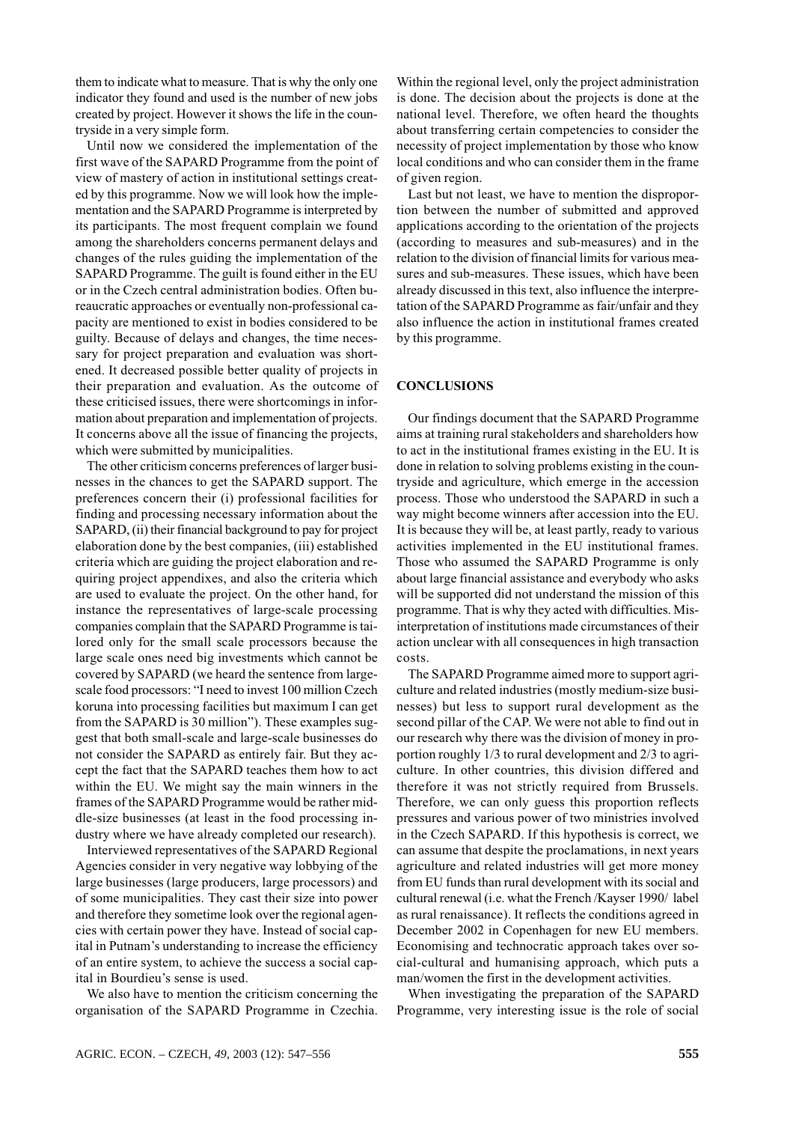them to indicate what to measure. That is why the only one indicator they found and used is the number of new jobs created by project. However it shows the life in the countryside in a very simple form.

Until now we considered the implementation of the first wave of the SAPARD Programme from the point of view of mastery of action in institutional settings created by this programme. Now we will look how the implementation and the SAPARD Programme is interpreted by its participants. The most frequent complain we found among the shareholders concerns permanent delays and changes of the rules guiding the implementation of the SAPARD Programme. The guilt is found either in the EU or in the Czech central administration bodies. Often bureaucratic approaches or eventually non-professional capacity are mentioned to exist in bodies considered to be guilty. Because of delays and changes, the time necessary for project preparation and evaluation was shortened. It decreased possible better quality of projects in their preparation and evaluation. As the outcome of these criticised issues, there were shortcomings in information about preparation and implementation of projects. It concerns above all the issue of financing the projects. which were submitted by municipalities.

The other criticism concerns preferences of larger businesses in the chances to get the SAPARD support. The preferences concern their (i) professional facilities for finding and processing necessary information about the SAPARD, (ii) their financial background to pay for project elaboration done by the best companies, (iii) established criteria which are guiding the project elaboration and requiring project appendixes, and also the criteria which are used to evaluate the project. On the other hand, for instance the representatives of large-scale processing companies complain that the SAPARD Programme is tailored only for the small scale processors because the large scale ones need big investments which cannot be covered by SAPARD (we heard the sentence from largescale food processors: "I need to invest 100 million Czech koruna into processing facilities but maximum I can get from the SAPARD is 30 million"). These examples suggest that both small-scale and large-scale businesses do not consider the SAPARD as entirely fair. But they accept the fact that the SAPARD teaches them how to act within the EU. We might say the main winners in the frames of the SAPARD Programme would be rather middle-size businesses (at least in the food processing industry where we have already completed our research).

Interviewed representatives of the SAPARD Regional Agencies consider in very negative way lobbying of the large businesses (large producers, large processors) and of some municipalities. They cast their size into power and therefore they sometime look over the regional agencies with certain power they have. Instead of social capital in Putnam's understanding to increase the efficiency of an entire system, to achieve the success a social capital in Bourdieu's sense is used.

We also have to mention the criticism concerning the organisation of the SAPARD Programme in Czechia. Within the regional level, only the project administration is done. The decision about the projects is done at the national level. Therefore, we often heard the thoughts about transferring certain competencies to consider the necessity of project implementation by those who know local conditions and who can consider them in the frame of given region.

Last but not least, we have to mention the disproportion between the number of submitted and approved applications according to the orientation of the projects (according to measures and sub-measures) and in the relation to the division of financial limits for various measures and sub-measures. These issues, which have been already discussed in this text, also influence the interpretation of the SAPARD Programme as fair/unfair and they also influence the action in institutional frames created by this programme.

# **CONCLUSIONS**

Our findings document that the SAPARD Programme aims at training rural stakeholders and shareholders how to act in the institutional frames existing in the EU. It is done in relation to solving problems existing in the countryside and agriculture, which emerge in the accession process. Those who understood the SAPARD in such a way might become winners after accession into the EU. It is because they will be, at least partly, ready to various activities implemented in the EU institutional frames. Those who assumed the SAPARD Programme is only about large financial assistance and everybody who asks will be supported did not understand the mission of this programme. That is why they acted with difficulties. Misinterpretation of institutions made circumstances of their action unclear with all consequences in high transaction costs.

The SAPARD Programme aimed more to support agriculture and related industries (mostly medium-size businesses) but less to support rural development as the second pillar of the CAP. We were not able to find out in our research why there was the division of money in proportion roughly 1/3 to rural development and 2/3 to agriculture. In other countries, this division differed and therefore it was not strictly required from Brussels. Therefore, we can only guess this proportion reflects pressures and various power of two ministries involved in the Czech SAPARD. If this hypothesis is correct, we can assume that despite the proclamations, in next years agriculture and related industries will get more money from EU funds than rural development with its social and cultural renewal (i.e. what the French /Kayser 1990/ label as rural renaissance). It reflects the conditions agreed in December 2002 in Copenhagen for new EU members. Economising and technocratic approach takes over social-cultural and humanising approach, which puts a man/women the first in the development activities.

When investigating the preparation of the SAPARD Programme, very interesting issue is the role of social